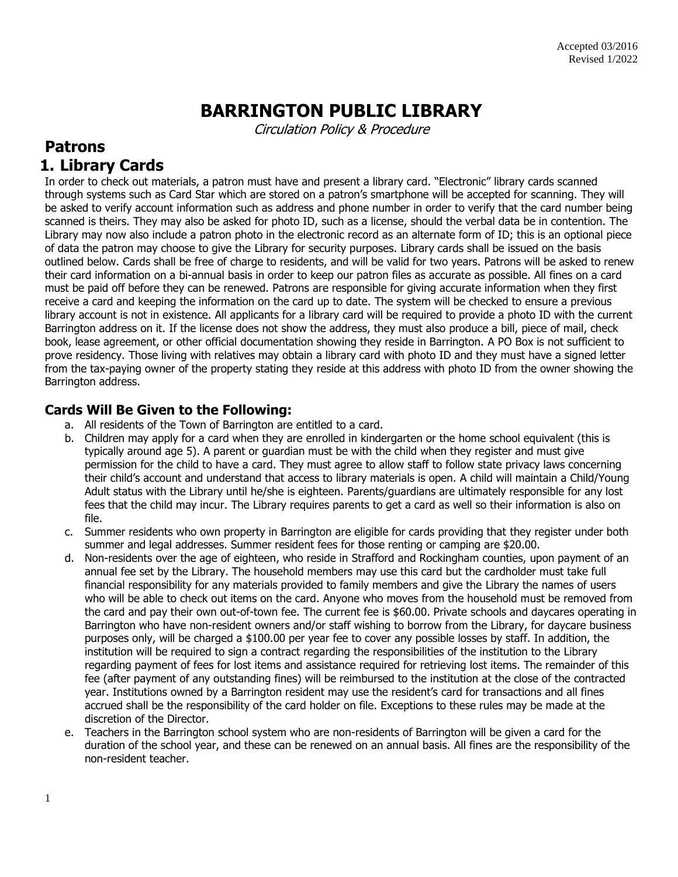# **BARRINGTON PUBLIC LIBRARY**

Circulation Policy & Procedure

# **Patrons 1. Library Cards**

In order to check out materials, a patron must have and present a library card. "Electronic" library cards scanned through systems such as Card Star which are stored on a patron's smartphone will be accepted for scanning. They will be asked to verify account information such as address and phone number in order to verify that the card number being scanned is theirs. They may also be asked for photo ID, such as a license, should the verbal data be in contention. The Library may now also include a patron photo in the electronic record as an alternate form of ID; this is an optional piece of data the patron may choose to give the Library for security purposes. Library cards shall be issued on the basis outlined below. Cards shall be free of charge to residents, and will be valid for two years. Patrons will be asked to renew their card information on a bi-annual basis in order to keep our patron files as accurate as possible. All fines on a card must be paid off before they can be renewed. Patrons are responsible for giving accurate information when they first receive a card and keeping the information on the card up to date. The system will be checked to ensure a previous library account is not in existence. All applicants for a library card will be required to provide a photo ID with the current Barrington address on it. If the license does not show the address, they must also produce a bill, piece of mail, check book, lease agreement, or other official documentation showing they reside in Barrington. A PO Box is not sufficient to prove residency. Those living with relatives may obtain a library card with photo ID and they must have a signed letter from the tax-paying owner of the property stating they reside at this address with photo ID from the owner showing the Barrington address.

#### **Cards Will Be Given to the Following:**

- a. All residents of the Town of Barrington are entitled to a card.
- b. Children may apply for a card when they are enrolled in kindergarten or the home school equivalent (this is typically around age 5). A parent or guardian must be with the child when they register and must give permission for the child to have a card. They must agree to allow staff to follow state privacy laws concerning their child's account and understand that access to library materials is open. A child will maintain a Child/Young Adult status with the Library until he/she is eighteen. Parents/guardians are ultimately responsible for any lost fees that the child may incur. The Library requires parents to get a card as well so their information is also on file.
- c. Summer residents who own property in Barrington are eligible for cards providing that they register under both summer and legal addresses. Summer resident fees for those renting or camping are \$20.00.
- d. Non-residents over the age of eighteen, who reside in Strafford and Rockingham counties, upon payment of an annual fee set by the Library. The household members may use this card but the cardholder must take full financial responsibility for any materials provided to family members and give the Library the names of users who will be able to check out items on the card. Anyone who moves from the household must be removed from the card and pay their own out-of-town fee. The current fee is \$60.00. Private schools and daycares operating in Barrington who have non-resident owners and/or staff wishing to borrow from the Library, for daycare business purposes only, will be charged a \$100.00 per year fee to cover any possible losses by staff. In addition, the institution will be required to sign a contract regarding the responsibilities of the institution to the Library regarding payment of fees for lost items and assistance required for retrieving lost items. The remainder of this fee (after payment of any outstanding fines) will be reimbursed to the institution at the close of the contracted year. Institutions owned by a Barrington resident may use the resident's card for transactions and all fines accrued shall be the responsibility of the card holder on file. Exceptions to these rules may be made at the discretion of the Director.
- e. Teachers in the Barrington school system who are non-residents of Barrington will be given a card for the duration of the school year, and these can be renewed on an annual basis. All fines are the responsibility of the non-resident teacher.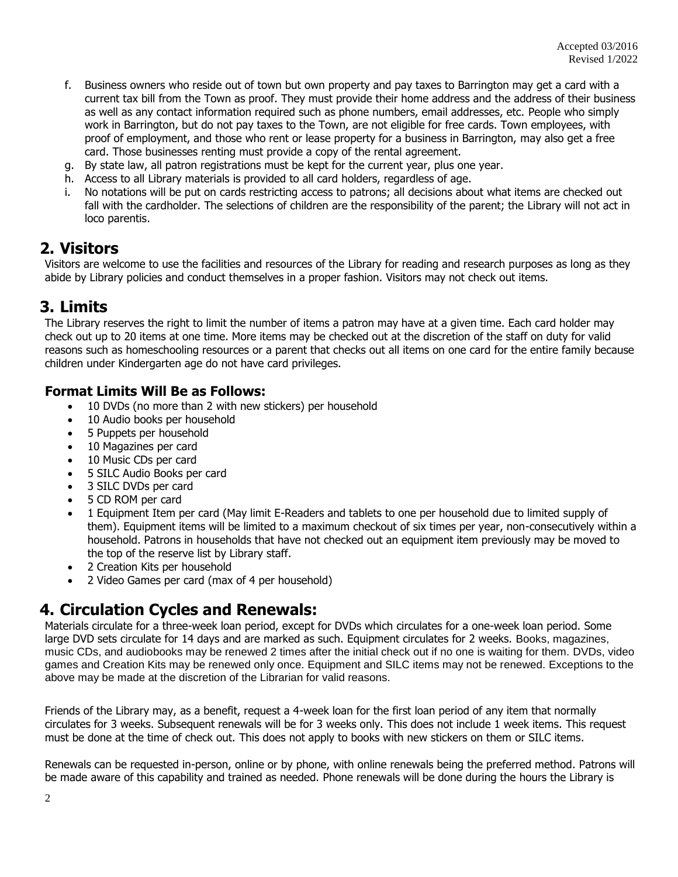- f. Business owners who reside out of town but own property and pay taxes to Barrington may get a card with a current tax bill from the Town as proof. They must provide their home address and the address of their business as well as any contact information required such as phone numbers, email addresses, etc. People who simply work in Barrington, but do not pay taxes to the Town, are not eligible for free cards. Town employees, with proof of employment, and those who rent or lease property for a business in Barrington, may also get a free card. Those businesses renting must provide a copy of the rental agreement.
- g. By state law, all patron registrations must be kept for the current year, plus one year.
- h. Access to all Library materials is provided to all card holders, regardless of age.
- i. No notations will be put on cards restricting access to patrons; all decisions about what items are checked out fall with the cardholder. The selections of children are the responsibility of the parent; the Library will not act in loco parentis.

#### **2. Visitors**

Visitors are welcome to use the facilities and resources of the Library for reading and research purposes as long as they abide by Library policies and conduct themselves in a proper fashion. Visitors may not check out items.

#### **3. Limits**

The Library reserves the right to limit the number of items a patron may have at a given time. Each card holder may check out up to 20 items at one time. More items may be checked out at the discretion of the staff on duty for valid reasons such as homeschooling resources or a parent that checks out all items on one card for the entire family because children under Kindergarten age do not have card privileges.

#### **Format Limits Will Be as Follows:**

- 10 DVDs (no more than 2 with new stickers) per household
- 10 Audio books per household
- 5 Puppets per household
- 10 Magazines per card
- 10 Music CDs per card
- 5 SILC Audio Books per card
- 3 SILC DVDs per card
- 5 CD ROM per card
- 1 Equipment Item per card (May limit E-Readers and tablets to one per household due to limited supply of them). Equipment items will be limited to a maximum checkout of six times per year, non-consecutively within a household. Patrons in households that have not checked out an equipment item previously may be moved to the top of the reserve list by Library staff.
- 2 Creation Kits per household
- 2 Video Games per card (max of 4 per household)

# **4. Circulation Cycles and Renewals:**

Materials circulate for a three-week loan period, except for DVDs which circulates for a one-week loan period. Some large DVD sets circulate for 14 days and are marked as such. Equipment circulates for 2 weeks. Books, magazines, music CDs, and audiobooks may be renewed 2 times after the initial check out if no one is waiting for them. DVDs, video games and Creation Kits may be renewed only once. Equipment and SILC items may not be renewed. Exceptions to the above may be made at the discretion of the Librarian for valid reasons.

Friends of the Library may, as a benefit, request a 4-week loan for the first loan period of any item that normally circulates for 3 weeks. Subsequent renewals will be for 3 weeks only. This does not include 1 week items. This request must be done at the time of check out. This does not apply to books with new stickers on them or SILC items.

Renewals can be requested in-person, online or by phone, with online renewals being the preferred method. Patrons will be made aware of this capability and trained as needed. Phone renewals will be done during the hours the Library is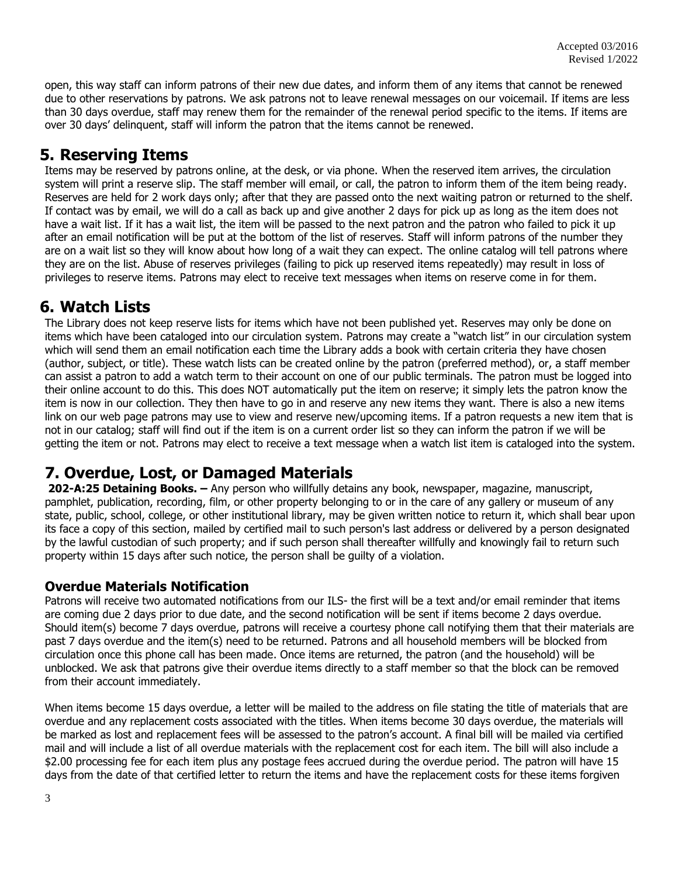open, this way staff can inform patrons of their new due dates, and inform them of any items that cannot be renewed due to other reservations by patrons. We ask patrons not to leave renewal messages on our voicemail. If items are less than 30 days overdue, staff may renew them for the remainder of the renewal period specific to the items. If items are over 30 days' delinquent, staff will inform the patron that the items cannot be renewed.

### **5. Reserving Items**

Items may be reserved by patrons online, at the desk, or via phone. When the reserved item arrives, the circulation system will print a reserve slip. The staff member will email, or call, the patron to inform them of the item being ready. Reserves are held for 2 work days only; after that they are passed onto the next waiting patron or returned to the shelf. If contact was by email, we will do a call as back up and give another 2 days for pick up as long as the item does not have a wait list. If it has a wait list, the item will be passed to the next patron and the patron who failed to pick it up after an email notification will be put at the bottom of the list of reserves. Staff will inform patrons of the number they are on a wait list so they will know about how long of a wait they can expect. The online catalog will tell patrons where they are on the list. Abuse of reserves privileges (failing to pick up reserved items repeatedly) may result in loss of privileges to reserve items. Patrons may elect to receive text messages when items on reserve come in for them.

### **6. Watch Lists**

The Library does not keep reserve lists for items which have not been published yet. Reserves may only be done on items which have been cataloged into our circulation system. Patrons may create a "watch list" in our circulation system which will send them an email notification each time the Library adds a book with certain criteria they have chosen (author, subject, or title). These watch lists can be created online by the patron (preferred method), or, a staff member can assist a patron to add a watch term to their account on one of our public terminals. The patron must be logged into their online account to do this. This does NOT automatically put the item on reserve; it simply lets the patron know the item is now in our collection. They then have to go in and reserve any new items they want. There is also a new items link on our web page patrons may use to view and reserve new/upcoming items. If a patron requests a new item that is not in our catalog; staff will find out if the item is on a current order list so they can inform the patron if we will be getting the item or not. Patrons may elect to receive a text message when a watch list item is cataloged into the system.

# **7. Overdue, Lost, or Damaged Materials**

**202-A:25 Detaining Books. –** Any person who willfully detains any book, newspaper, magazine, manuscript, pamphlet, publication, recording, film, or other property belonging to or in the care of any gallery or museum of any state, public, school, college, or other institutional library, may be given written notice to return it, which shall bear upon its face a copy of this section, mailed by certified mail to such person's last address or delivered by a person designated by the lawful custodian of such property; and if such person shall thereafter willfully and knowingly fail to return such property within 15 days after such notice, the person shall be guilty of a violation.

#### **Overdue Materials Notification**

Patrons will receive two automated notifications from our ILS- the first will be a text and/or email reminder that items are coming due 2 days prior to due date, and the second notification will be sent if items become 2 days overdue. Should item(s) become 7 days overdue, patrons will receive a courtesy phone call notifying them that their materials are past 7 days overdue and the item(s) need to be returned. Patrons and all household members will be blocked from circulation once this phone call has been made. Once items are returned, the patron (and the household) will be unblocked. We ask that patrons give their overdue items directly to a staff member so that the block can be removed from their account immediately.

When items become 15 days overdue, a letter will be mailed to the address on file stating the title of materials that are overdue and any replacement costs associated with the titles. When items become 30 days overdue, the materials will be marked as lost and replacement fees will be assessed to the patron's account. A final bill will be mailed via certified mail and will include a list of all overdue materials with the replacement cost for each item. The bill will also include a \$2.00 processing fee for each item plus any postage fees accrued during the overdue period. The patron will have 15 days from the date of that certified letter to return the items and have the replacement costs for these items forgiven